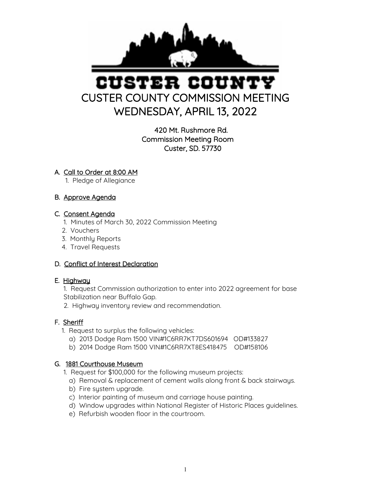

# USTER COUN CUSTER COUNTY COMMISSION MEETING WEDNESDAY, APRIL 13, 2022

420 Mt. Rushmore Rd. Commission Meeting Room Custer, SD. 57730

# A. Call to Order at 8:00 AM

1. Pledge of Allegiance

# B. Approve Agenda

# C. Consent Agenda

- 1. Minutes of March 30, 2022 Commission Meeting
- 2. Vouchers
- 3. Monthly Reports
- 4. Travel Requests

# D. Conflict of Interest Declaration

# E. Highway

 1. Request Commission authorization to enter into 2022 agreement for base Stabilization near Buffalo Gap.

2. Highway inventory review and recommendation.

# F. Sheriff

- 1. Request to surplus the following vehicles:
	- a) 2013 Dodge Ram 1500 VIN#1C6RR7KT7DS601694 OD#133827
	- b) 2014 Dodge Ram 1500 VIN#1C6RR7XT8ES418475 OD#158106

# G. 1881 Courthouse Museum

- 1. Request for \$100,000 for the following museum projects:
	- a) Removal & replacement of cement walls along front & back stairways.
	- b) Fire system upgrade.
	- c) Interior painting of museum and carriage house painting.
	- d) Window upgrades within National Register of Historic Places guidelines.
	- e) Refurbish wooden floor in the courtroom.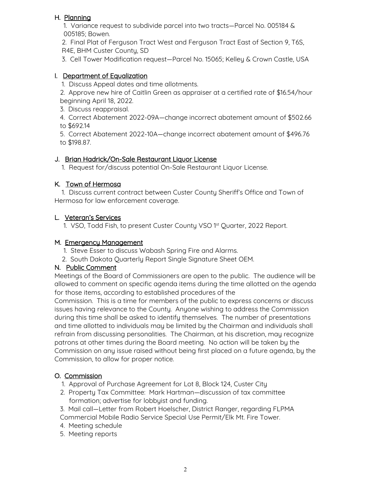# H. Planning

 1. Variance request to subdivide parcel into two tracts—Parcel No. 005184 & 005185; Bowen.

 2. Final Plat of Ferguson Tract West and Ferguson Tract East of Section 9, T6S, R4E, BHM Custer County, SD

3. Cell Tower Modification request—Parcel No. 15065; Kelley & Crown Castle, USA

#### I. Department of Equalization

1. Discuss Appeal dates and time allotments.

 2. Approve new hire of Caitlin Green as appraiser at a certified rate of \$16.54/hour beginning April 18, 2022.

3. Discuss reappraisal.

 4. Correct Abatement 2022-09A—change incorrect abatement amount of \$502.66 to \$692.14

 5. Correct Abatement 2022-10A—change incorrect abatement amount of \$496.76 to \$198.87.

#### J. Brian Hadrick/On-Sale Restaurant Liquor License

1. Request for/discuss potential On-Sale Restaurant Liquor License.

## K. Town of Hermosa

 1. Discuss current contract between Custer County Sheriff's Office and Town of Hermosa for law enforcement coverage.

## L. Veteran's Services

1. VSO, Todd Fish, to present Custer County VSO 1<sup>st</sup> Quarter, 2022 Report.

#### M. Emergency Management

- 1. Steve Esser to discuss Wabash Spring Fire and Alarms.
- 2. South Dakota Quarterly Report Single Signature Sheet OEM.

#### N. Public Comment

Meetings of the Board of Commissioners are open to the public. The audience will be allowed to comment on specific agenda items during the time allotted on the agenda for those items, according to established procedures of the

Commission. This is a time for members of the public to express concerns or discuss issues having relevance to the County. Anyone wishing to address the Commission during this time shall be asked to identify themselves. The number of presentations and time allotted to individuals may be limited by the Chairman and individuals shall refrain from discussing personalities. The Chairman, at his discretion, may recognize patrons at other times during the Board meeting. No action will be taken by the Commission on any issue raised without being first placed on a future agenda, by the Commission, to allow for proper notice.

# O. Commission

- 1. Approval of Purchase Agreement for Lot 8, Block 124, Custer City
- 2. Property Tax Committee: Mark Hartman—discussion of tax committee formation; advertise for lobbyist and funding.
- 3. Mail call—Letter from Robert Hoelscher, District Ranger, regarding FLPMA
- Commercial Mobile Radio Service Special Use Permit/Elk Mt. Fire Tower.
- 4. Meeting schedule
- 5. Meeting reports